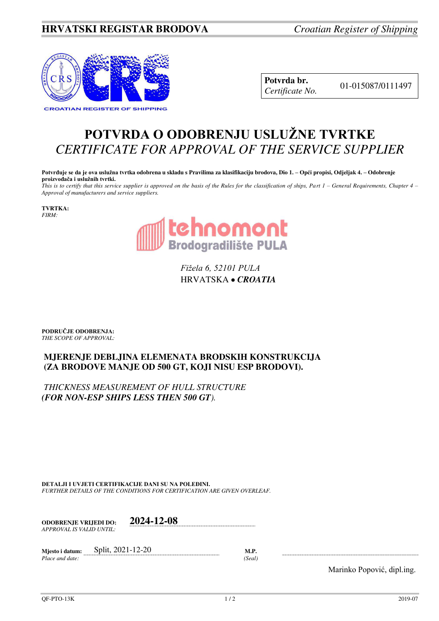## **HRVATSKI REGISTAR BRODOVA** *Croatian Register of Shipping*



**Potvrda br.** 01-015087/0111497 *Certificate No.* 

## **POTVRDA O ODOBRENJU USLUŽNE TVRTKE** *CERTIFICATE FOR APPROVAL OF THE SERVICE SUPPLIER*

**Potvrđuje se da je ova uslužna tvrtka odobrena u skladu s Pravilima za klasifikaciju brodova, Dio 1. – Opći propisi, Odjeljak 4. – Odobrenje proizvođača i uslužnih tvrtki.**

*This is to certify that this service supplier is approved on the basis of the Rules for the classification of ships, Part 1 – General Requirements, Chapter 4 – Approval of manufacturers and service suppliers.* 

**TVRTKA:** *FIRM:*



*Fižela 6, 52101 PULA* HRVATSKA *CROATIA*

**PODRUČJE ODOBRENJA:** *THE SCOPE OF APPROVAL:* 

## **MJERENJE DEBLJINA ELEMENATA BRODSKIH KONSTRUKCIJA (ZA BRODOVE MANJE OD 500 GT, KOJI NISU ESP BRODOVI).**

*THICKNESS MEASUREMENT OF HULL STRUCTURE (FOR NON-ESP SHIPS LESS THEN 500 GT).*

**DETALJI I UVJETI CERTIFIKACIJE DANI SU NA POLEĐINI.** *FURTHER DETAILS OF THE CONDITIONS FOR CERTIFICATION ARE GIVEN OVERLEAF.* 

**ODOBRENJE VRIJEDI DO: 2024-12-08** *APPROVAL IS VALID UNTIL:*

**Mjesto i datum:** Split, 2021-12-20 **M.P.**  *Place and date: (Seal)* 

Marinko Popović, dipl.ing.